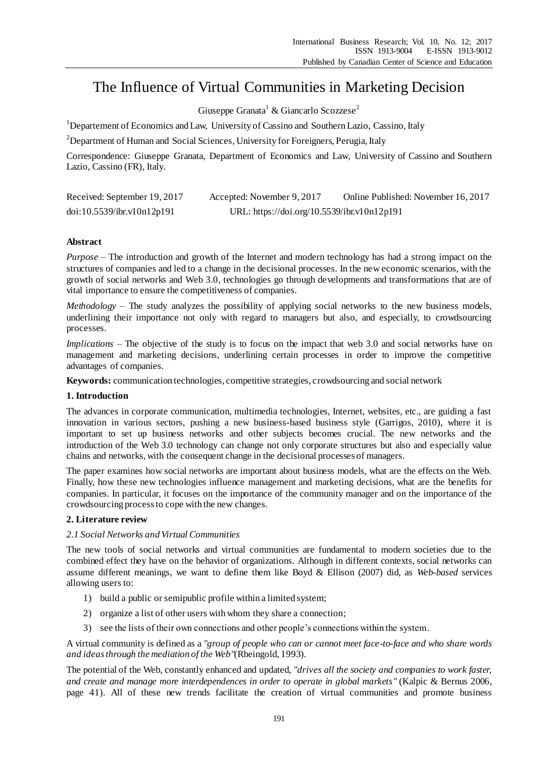# The Influence of Virtual Communities in Marketing Decision

Giuseppe Granata<sup>1</sup> & Giancarlo Scozzese<sup>2</sup>

<sup>1</sup>Departement of Economics and Law, University of Cassino and Southern Lazio, Cassino, Italy

<sup>2</sup>Department of Human and Social Sciences, University for Foreigners, Perugia, Italy

Correspondence: Giuseppe Granata, Department of Economics and Law, University of Cassino and Southern Lazio, Cassino (FR), Italy.

| Received: September 19, 2017 | Accepted: November 9, 2017                  | Online Published: November 16, 2017 |
|------------------------------|---------------------------------------------|-------------------------------------|
| doi:10.5539/ibr.v10n12p191   | URL: https://doi.org/10.5539/ibr.v10n12p191 |                                     |

# **Abstract**

*Purpose* – The introduction and growth of the Internet and modern technology has had a strong impact on the structures of companies and led to a change in the decisional processes. In the new economic scenarios, with the growth of social networks and Web 3.0, technologies go through developments and transformations that are of vital importance to ensure the competitiveness of companies.

*Methodology* – The study analyzes the possibility of applying social networks to the new business models, underlining their importance not only with regard to managers but also, and especially, to crowdsourcing processes.

*Implications* – The objective of the study is to focus on the impact that web 3.0 and social networks have on management and marketing decisions, underlining certain processes in order to improve the competitive advantages of companies.

**Keywords:** communication technologies, competitive strategies, crowdsourcing and social network

# **1. Introduction**

The advances in corporate communication, multimedia technologies, Internet, websites, etc., are guiding a fast innovation in various sectors, pushing a new business-based business style (Garrigos, 2010), where it is important to set up business networks and other subjects becomes crucial. The new networks and the introduction of the Web 3.0 technology can change not only corporate structures but also and especially value chains and networks, with the consequent change in the decisional processes of managers.

The paper examines how social networks are important about business models, what are the effects on the Web. Finally, how these new technologies influence management and marketing decisions, what are the benefits for companies. In particular, it focuses on the importance of the community manager and on the importance of the crowdsourcing process to cope with the new changes.

# **2. Literature review**

# *2.1 Social Networks and Virtual Communities*

The new tools of social networks and virtual communities are fundamental to modern societies due to the combined effect they have on the behavior of organizations. Although in different contexts, social networks can assume different meanings, we want to define them like Boyd & Ellison (2007) did, as *Web-based* services allowing users to:

- 1) build a public or semipublic profile within a limited system;
- 2) organize a list of other users with whom they share a connection;
- 3) see the lists of their own connections and other people's connections within the system.

A virtual community is defined as a "*group of people who can or cannot meet face-to-face and who share words and ideas through the mediation of the Web*"(Rheingold, 1993).

The potential of the Web, constantly enhanced and updated, "*drives all the society and companies to work faster, and create and manage more interdependences in order to operate in global markets*" (Kalpic & Bernus 2006, page 41). All of these new trends facilitate the creation of virtual communities and promote business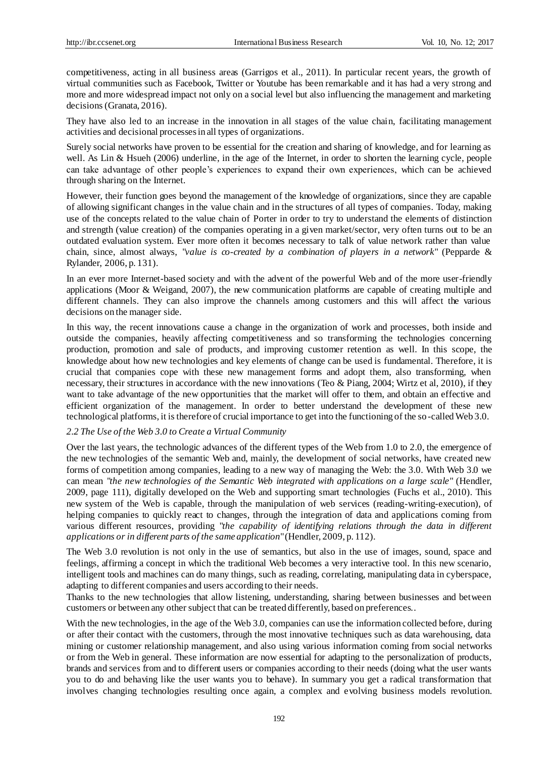competitiveness, acting in all business areas (Garrigos et al., 2011). In particular recent years, the growth of virtual communities such as Facebook, Twitter or Youtube has been remarkable and it has had a very strong and more and more widespread impact not only on a social level but also influencing the management and marketing decisions (Granata, 2016).

They have also led to an increase in the innovation in all stages of the value chain, facilitating management activities and decisional processes in all types of organizations.

Surely social networks have proven to be essential for the creation and sharing of knowledge, and for learning as well. As Lin & Hsueh (2006) underline, in the age of the Internet, in order to shorten the learning cycle, people can take advantage of other people's experiences to expand their own experiences, which can be achieved through sharing on the Internet.

However, their function goes beyond the management of the knowledge of organizations, since they are capable of allowing significant changes in the value chain and in the structures of all types of companies. Today, making use of the concepts related to the value chain of Porter in order to try to understand the elements of distinction and strength (value creation) of the companies operating in a given market/sector, very often turns out to be an outdated evaluation system. Ever more often it becomes necessary to talk of value network rather than value chain, since, almost always, "*value is co-created by a combination of players in a network*" (Pepparde & Rylander, 2006, p. 131).

In an ever more Internet-based society and with the advent of the powerful Web and of the more user-friendly applications (Moor & Weigand, 2007), the new communication platforms are capable of creating multiple and different channels. They can also improve the channels among customers and this will affect the various decisions on the manager side.

In this way, the recent innovations cause a change in the organization of work and processes, both inside and outside the companies, heavily affecting competitiveness and so transforming the technologies concerning production, promotion and sale of products, and improving customer retention as well. In this scope, the knowledge about how new technologies and key elements of change can be used is fundamental. Therefore, it is crucial that companies cope with these new management forms and adopt them, also transforming, when necessary, their structures in accordance with the new innovations (Teo & Piang, 2004; Wirtz et al, 2010), if they want to take advantage of the new opportunities that the market will offer to them, and obtain an effective and efficient organization of the management. In order to better understand the development of these new technological platforms, it is therefore of crucial importance to get into the functioning of the so-called Web 3.0.

# *2.2 The Use of the Web 3.0 to Create a Virtual Community*

Over the last years, the technologic advances of the different types of the Web from 1.0 to 2.0, the emergence of the new technologies of the semantic Web and, mainly, the development of social networks, have created new forms of competition among companies, leading to a new way of managing the Web: the 3.0. With Web 3.0 we can mean "*the new technologies of the Semantic Web integrated with applications on a large scale*" (Hendler, 2009, page 111), digitally developed on the Web and supporting smart technologies (Fuchs et al., 2010). This new system of the Web is capable, through the manipulation of web services (reading-writing-execution), of helping companies to quickly react to changes, through the integration of data and applications coming from various different resources, providing "*the capability of identifying relations through the data in different applications or in different parts of the same application*" (Hendler, 2009, p. 112).

The Web 3.0 revolution is not only in the use of semantics, but also in the use of images, sound, space and feelings, affirming a concept in which the traditional Web becomes a very interactive tool. In this new scenario, intelligent tools and machines can do many things, such as reading, correlating, manipulating data in cyberspace, adapting to different companies and users according to their needs.

Thanks to the new technologies that allow listening, understanding, sharing between businesses and between customers or between any other subject that can be treated differently, based on preferences..

With the new technologies, in the age of the Web 3.0, companies can use the information collected before, during or after their contact with the customers, through the most innovative techniques such as data warehousing, data mining or customer relationship management, and also using various information coming from social networks or from the Web in general. These information are now essential for adapting to the personalization of products, brands and services from and to different users or companies according to their needs (doing what the user wants you to do and behaving like the user wants you to behave). In summary you get a radical transformation that involves changing technologies resulting once again, a complex and evolving business models revolution.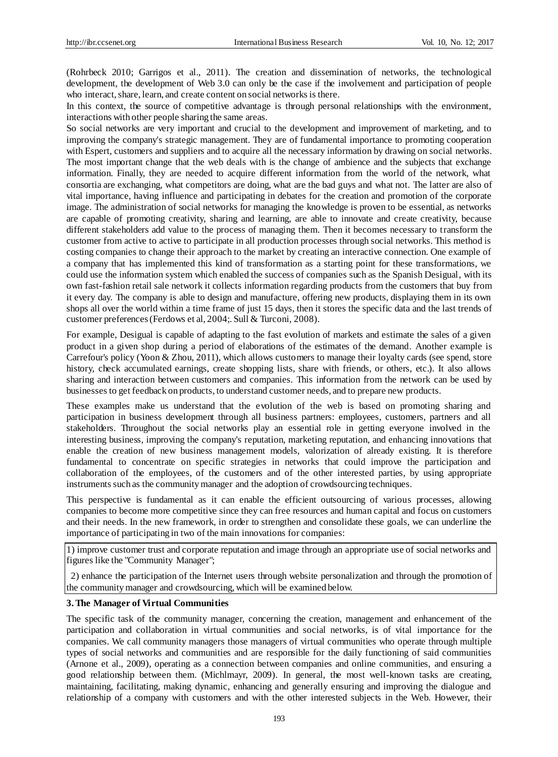(Rohrbeck 2010; Garrigos et al., 2011). The creation and dissemination of networks, the technological development, the development of Web 3.0 can only be the case if the involvement and participation of people who interact, share, learn, and create content on social networks is there.

In this context, the source of competitive advantage is through personal relationships with the environment, interactions with other people sharing the same areas.

So social networks are very important and crucial to the development and improvement of marketing, and to improving the company's strategic management. They are of fundamental importance to promoting cooperation with Espert, customers and suppliers and to acquire all the necessary information by drawing on social networks. The most important change that the web deals with is the change of ambience and the subjects that exchange information. Finally, they are needed to acquire different information from the world of the network, what consortia are exchanging, what competitors are doing, what are the bad guys and what not. The latter are also of vital importance, having influence and participating in debates for the creation and promotion of the corporate image. The administration of social networks for managing the knowledge is proven to be essential, as networks are capable of promoting creativity, sharing and learning, are able to innovate and create creativity, because different stakeholders add value to the process of managing them. Then it becomes necessary to transform the customer from active to active to participate in all production processes through social networks. This method is costing companies to change their approach to the market by creating an interactive connection. One example of a company that has implemented this kind of transformation as a starting point for these transformations, we could use the information system which enabled the success of companies such as the Spanish Desigual, with its own fast-fashion retail sale network it collects information regarding products from the customers that buy from it every day. The company is able to design and manufacture, offering new products, displaying them in its own shops all over the world within a time frame of just 15 days, then it stores the specific data and the last trends of customer preferences (Ferdows et al, 2004;. Sull & Turconi, 2008).

For example, Desigual is capable of adapting to the fast evolution of markets and estimate the sales of a given product in a given shop during a period of elaborations of the estimates of the demand. Another example is Carrefour's policy (Yoon & Zhou, 2011), which allows customers to manage their loyalty cards (see spend, store history, check accumulated earnings, create shopping lists, share with friends, or others, etc.). It also allows sharing and interaction between customers and companies. This information from the network can be used by businesses to get feedback on products, to understand customer needs, and to prepare new products.

These examples make us understand that the evolution of the web is based on promoting sharing and participation in business development through all business partners: employees, customers, partners and all stakeholders. Throughout the social networks play an essential role in getting everyone involved in the interesting business, improving the company's reputation, marketing reputation, and enhancing innovations that enable the creation of new business management models, valorization of already existing. It is therefore fundamental to concentrate on specific strategies in networks that could improve the participation and collaboration of the employees, of the customers and of the other interested parties, by using appropriate instruments such as the community manager and the adoption of crowdsourcing techniques.

This perspective is fundamental as it can enable the efficient outsourcing of various processes, allowing companies to become more competitive since they can free resources and human capital and focus on customers and their needs. In the new framework, in order to strengthen and consolidate these goals, we can underline the importance of participating in two of the main innovations for companies:

1) improve customer trust and corporate reputation and image through an appropriate use of social networks and figures like the "Community Manager";

2) enhance the participation of the Internet users through website personalization and through the promotion of the community manager and crowdsourcing, which will be examined below.

#### **3.The Manager of Virtual Communities**

The specific task of the community manager, concerning the creation, management and enhancement of the participation and collaboration in virtual communities and social networks, is of vital importance for the companies. We call community managers those managers of virtual communities who operate through multiple types of social networks and communities and are responsible for the daily functioning of said communities (Arnone et al., 2009), operating as a connection between companies and online communities, and ensuring a good relationship between them. (Michlmayr, 2009). In general, the most well-known tasks are creating, maintaining, facilitating, making dynamic, enhancing and generally ensuring and improving the dialogue and relationship of a company with customers and with the other interested subjects in the Web. However, their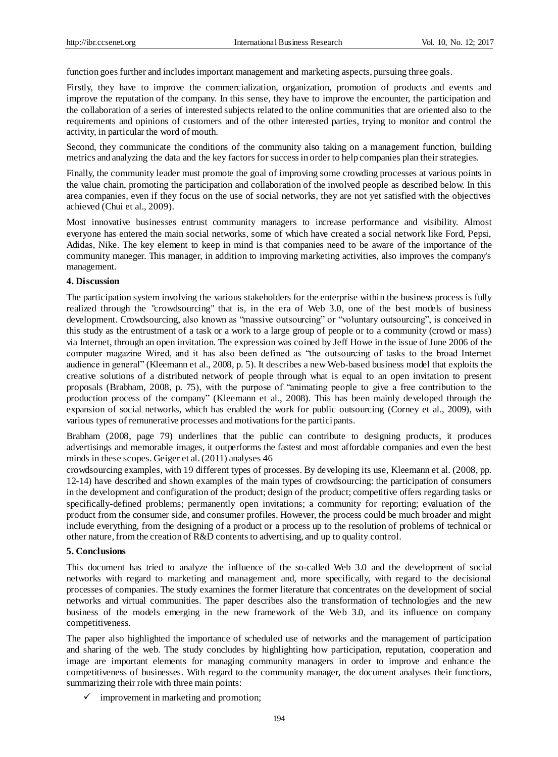function goes further and includes important management and marketing aspects, pursuing three goals.

Firstly, they have to improve the commercialization, organization, promotion of products and events and improve the reputation of the company. In this sense, they have to improve the encounter, the participation and the collaboration of a series of interested subjects related to the online communities that are oriented also to the requirements and opinions of customers and of the other interested parties, trying to monitor and control the activity, in particular the word of mouth.

Second, they communicate the conditions of the community also taking on a management function, building metrics and analyzing the data and the key factors for success in order to help companies plan their strategies.

Finally, the community leader must promote the goal of improving some crowding processes at various points in the value chain, promoting the participation and collaboration of the involved people as described below. In this area companies, even if they focus on the use of social networks, they are not yet satisfied with the objectives achieved (Chui et al., 2009).

Most innovative businesses entrust community managers to increase performance and visibility. Almost everyone has entered the main social networks, some of which have created a social network like Ford, Pepsi, Adidas, Nike. The key element to keep in mind is that companies need to be aware of the importance of the community maneger. This manager, in addition to improving marketing activities, also improves the company's management.

## **4. Discussion**

The participation system involving the various stakeholders for the enterprise within the business process is fully realized through the "crowdsourcing" that is, in the era of Web 3.0, one of the best models of business development. Crowdsourcing, also known as "massive outsourcing" or "voluntary outsourcing", is conceived in this study as the entrustment of a task or a work to a large group of people or to a community (crowd or mass) via Internet, through an open invitation. The expression was coined by Jeff Howe in the issue of June 2006 of the computer magazine Wired, and it has also been defined as "the outsourcing of tasks to the broad Internet audience in general" (Kleemann et al., 2008, p. 5). It describes a new Web-based business model that exploits the creative solutions of a distributed network of people through what is equal to an open invitation to present proposals (Brabham, 2008, p. 75), with the purpose of "animating people to give a free contribution to the production process of the company" (Kleemann et al., 2008). This has been mainly developed through the expansion of social networks, which has enabled the work for public outsourcing (Corney et al., 2009), with various types of remunerative processes and motivations for the participants.

Brabham (2008, page 79) underlines that the public can contribute to designing products, it produces advertisings and memorable images, it outperforms the fastest and most affordable companies and even the best minds in these scopes. Geiger et al. (2011) analyses 46

crowdsourcing examples, with 19 different types of processes. By developing its use, Kleemann et al. (2008, pp. 12-14) have described and shown examples of the main types of crowdsourcing: the participation of consumers in the development and configuration of the product; design of the product; competitive offers regarding tasks or specifically-defined problems; permanently open invitations; a community for reporting; evaluation of the product from the consumer side, and consumer profiles. However, the process could be much broader and might include everything, from the designing of a product or a process up to the resolution of problems of technical or other nature, from the creation of R&D contents to advertising, and up to quality control.

### **5. Conclusions**

This document has tried to analyze the influence of the so-called Web 3.0 and the development of social networks with regard to marketing and management and, more specifically, with regard to the decisional processes of companies. The study examines the former literature that concentrates on the development of social networks and virtual communities. The paper describes also the transformation of technologies and the new business of the models emerging in the new framework of the Web 3.0, and its influence on company competitiveness.

The paper also highlighted the importance of scheduled use of networks and the management of participation and sharing of the web. The study concludes by highlighting how participation, reputation, cooperation and image are important elements for managing community managers in order to improve and enhance the competitiveness of businesses. With regard to the community manager, the document analyses their functions, summarizing their role with three main points:

 $\checkmark$  improvement in marketing and promotion;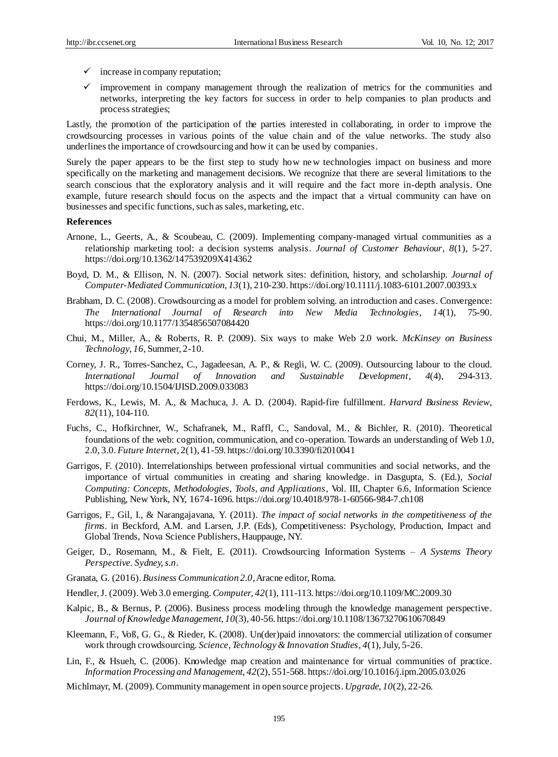- $\checkmark$  increase in company reputation;
- $\checkmark$  improvement in company management through the realization of metrics for the communities and networks, interpreting the key factors for success in order to help companies to plan products and process strategies;

Lastly, the promotion of the participation of the parties interested in collaborating, in order to improve the crowdsourcing processes in various points of the value chain and of the value networks. The study also underlines the importance of crowdsourcing and how it can be used by companies.

Surely the paper appears to be the first step to study how new technologies impact on business and more specifically on the marketing and management decisions. We recognize that there are several limitations to the search conscious that the exploratory analysis and it will require and the fact more in-depth analysis. One example, future research should focus on the aspects and the impact that a virtual community can have on businesses and specific functions, such as sales, marketing, etc.

#### **References**

- Arnone, L., Geerts, A., & Scoubeau, C. (2009). Implementing company-managed virtual communities as a relationship marketing tool: a decision systems analysis. *Journal of Customer Behaviour*, *8*(1), 5-27. https://doi.org/10.1362/147539209X414362
- Boyd, D. M., & Ellison, N. N. (2007). Social network sites: definition, history, and scholarship. *Journal of Computer-Mediated Communication*, *13*(1), 210-230. https://doi.org/10.1111/j.1083-6101.2007.00393.x
- Brabham, D. C. (2008). Crowdsourcing as a model for problem solving. an introduction and cases. Convergence: *The International Journal of Research into New Media Technologies*, *14*(1), 75-90. https://doi.org/10.1177/1354856507084420
- Chui, M., Miller, A., & Roberts, R. P. (2009). Six ways to make Web 2.0 work. *McKinsey on Business Technology*, *16,* Summer, 2-10.
- Corney, J. R., Torres-Sanchez, C., Jagadeesan, A. P., & Regli, W. C. (2009). Outsourcing labour to the cloud. *International Journal of Innovation and Sustainable Development*, *4*(4), 294-313. https://doi.org/10.1504/IJISD.2009.033083
- Ferdows, K., Lewis, M. A., & Machuca, J. A. D. (2004). Rapid-fire fulfillment. *Harvard Business Review*, *82*(11), 104-110.
- Fuchs, C., Hofkirchner, W., Schafranek, M., Raffl, C., Sandoval, M., & Bichler, R. (2010). Theoretical foundations of the web: cognition, communication, and co-operation. Towards an understanding of Web 1.0, 2.0, 3.0. *Future Internet*, 2(1), 41-59. https://doi.org/10.3390/fi2010041
- Garrigos, F. (2010). Interrelationships between professional virtual communities and social networks, and the importance of virtual communities in creating and sharing knowledge. in Dasgupta, S. (Ed.), *Social Computing: Concepts, Methodologies, Tools, and Applications*, Vol. III, Chapter 6.6, Information Science Publishing, New York, NY, 1674-1696. https://doi.org/10.4018/978-1-60566-984-7.ch108
- Garrigos, F., Gil, I., & Narangajavana, Y. (2011). *The impact of social networks in the competitiveness of the firms*. in Beckford, A.M. and Larsen, J.P. (Eds), Competitiveness: Psychology, Production, Impact and Global Trends, Nova Science Publishers, Hauppauge, NY.
- Geiger, D., Rosemann, M., & Fielt, E. (2011). Crowdsourcing Information Systems *A Systems Theory Perspective. Sydney, s.n*.
- Granata, G. (2016). *Business Communication 2.0*, Aracne editor, Roma.
- Hendler, J. (2009). Web 3.0 emerging. *Computer*, *42*(1), 111-113. https://doi.org/10.1109/MC.2009.30
- Kalpic, B., & Bernus, P. (2006). Business process modeling through the knowledge management perspective. *Journal of Knowledge Management*, *10*(3), 40-56. https://doi.org/10.1108/13673270610670849
- Kleemann, F., Voß, G. G., & Rieder, K. (2008). Un(der)paid innovators: the commercial utilization of consumer work through crowdsourcing. *Science, Technology & Innovation Studies*, *4*(1), July, 5-26.
- Lin, F., & Hsueh, C. (2006). Knowledge map creation and maintenance for virtual communities of practice. *Information Processing and Management*, *42*(2), 551-568. https://doi.org/10.1016/j.ipm.2005.03.026
- Michlmayr, M. (2009). Community management in open source projects. *Upgrade*, *10*(2), 22-26.